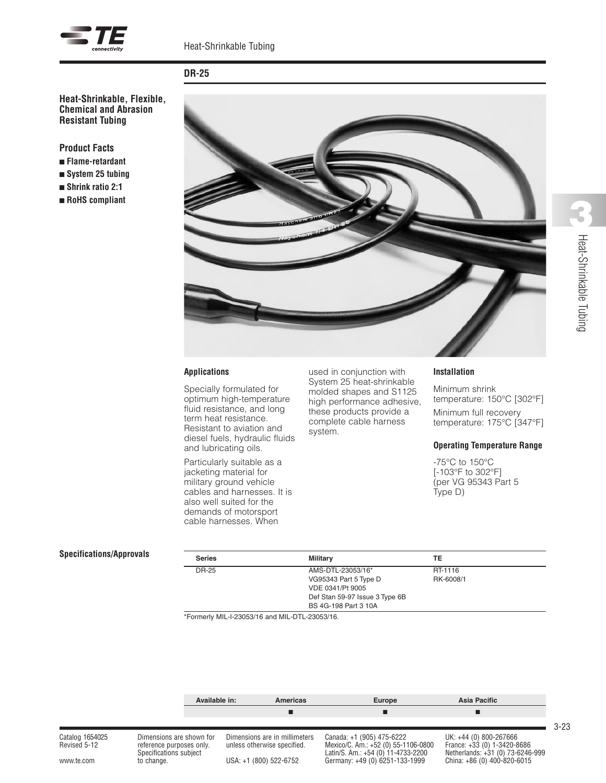



# **DR-25**

**Heat-Shrinkable, Flexible, Chemical and Abrasion Resistant Tubing**

**Product Facts**

- <sup>n</sup> **Flame-retardant**
- <sup>n</sup> **System 25 tubing**
- <sup>n</sup> **Shrink ratio 2:1**
- <sup>n</sup> **RoHS compliant**



### **Applications**

Specially formulated for optimum high-temperature fluid resistance, and long term heat resistance. Resistant to aviation and diesel fuels, hydraulic fluids and lubricating oils.

Particularly suitable as a jacketing material for military ground vehicle cables and harnesses. It is also well suited for the demands of motorsport cable harnesses. When

used in conjunction with System 25 heat-shrinkable molded shapes and S1125 high performance adhesive, these products provide a complete cable harness system.

#### **Installation**

Minimum shrink temperature: 150°C [302°F] Minimum full recovery

temperature: 175°C [347°F]

### **Operating Temperature Range**

-75°C to 150°C [-103°F to 302°F] (per VG 95343 Part 5 Type D)

#### $S$ *pecifications/Approvals*

| <b>Series</b> | Military                       | TE        |  |
|---------------|--------------------------------|-----------|--|
| DR-25         | AMS-DTL-23053/16*              | RT-1116   |  |
|               | VG95343 Part 5 Type D          | RK-6008/1 |  |
|               | VDE 0341/Pt 9005               |           |  |
|               | Def Stan 59-97 Issue 3 Type 6B |           |  |
|               | BS 4G-198 Part 3 10A           |           |  |

\*Formerly MIL-I-23053/16 and MIL-DTL-23053/16.